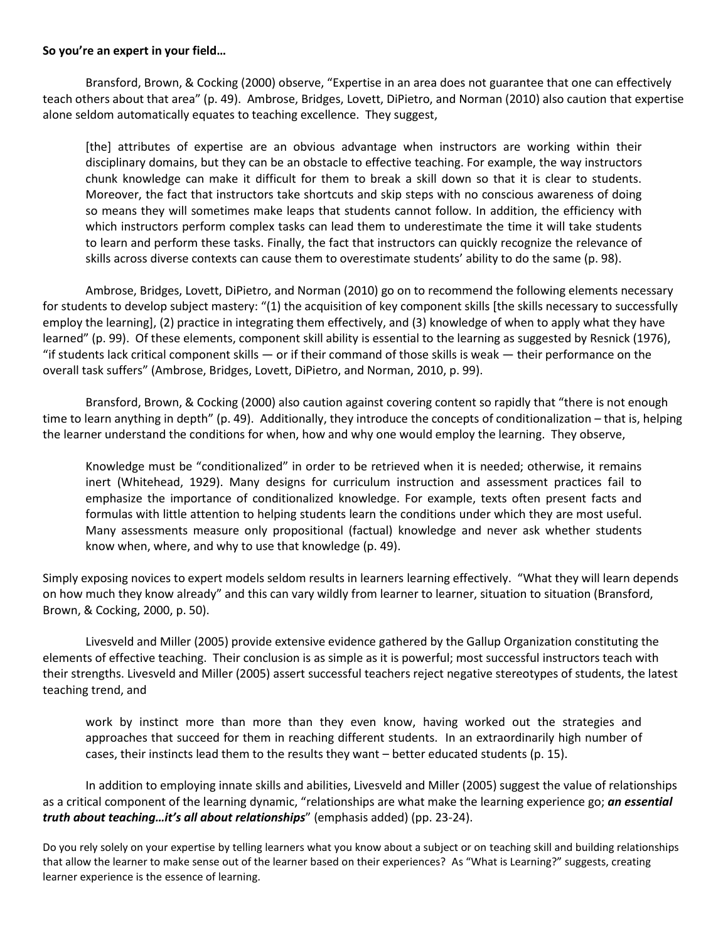## **So you're an expert in your field…**

Bransford, Brown, & Cocking (2000) observe, "Expertise in an area does not guarantee that one can effectively teach others about that area" (p. 49). Ambrose, Bridges, Lovett, DiPietro, and Norman (2010) also caution that expertise alone seldom automatically equates to teaching excellence. They suggest,

[the] attributes of expertise are an obvious advantage when instructors are working within their disciplinary domains, but they can be an obstacle to effective teaching. For example, the way instructors chunk knowledge can make it difficult for them to break a skill down so that it is clear to students. Moreover, the fact that instructors take shortcuts and skip steps with no conscious awareness of doing so means they will sometimes make leaps that students cannot follow. In addition, the efficiency with which instructors perform complex tasks can lead them to underestimate the time it will take students to learn and perform these tasks. Finally, the fact that instructors can quickly recognize the relevance of skills across diverse contexts can cause them to overestimate students' ability to do the same (p. 98).

Ambrose, Bridges, Lovett, DiPietro, and Norman (2010) go on to recommend the following elements necessary for students to develop subject mastery: "(1) the acquisition of key component skills [the skills necessary to successfully employ the learning], (2) practice in integrating them effectively, and (3) knowledge of when to apply what they have learned" (p. 99). Of these elements, component skill ability is essential to the learning as suggested by Resnick (1976), "if students lack critical component skills — or if their command of those skills is weak — their performance on the overall task suffers" (Ambrose, Bridges, Lovett, DiPietro, and Norman, 2010, p. 99).

Bransford, Brown, & Cocking (2000) also caution against covering content so rapidly that "there is not enough time to learn anything in depth" (p. 49). Additionally, they introduce the concepts of conditionalization – that is, helping the learner understand the conditions for when, how and why one would employ the learning. They observe,

Knowledge must be "conditionalized" in order to be retrieved when it is needed; otherwise, it remains inert (Whitehead, 1929). Many designs for curriculum instruction and assessment practices fail to emphasize the importance of conditionalized knowledge. For example, texts often present facts and formulas with little attention to helping students learn the conditions under which they are most useful. Many assessments measure only propositional (factual) knowledge and never ask whether students know when, where, and why to use that knowledge (p. 49).

Simply exposing novices to expert models seldom results in learners learning effectively. "What they will learn depends on how much they know already" and this can vary wildly from learner to learner, situation to situation (Bransford, Brown, & Cocking, 2000, p. 50).

Livesveld and Miller (2005) provide extensive evidence gathered by the Gallup Organization constituting the elements of effective teaching. Their conclusion is as simple as it is powerful; most successful instructors teach with their strengths. Livesveld and Miller (2005) assert successful teachers reject negative stereotypes of students, the latest teaching trend, and

work by instinct more than more than they even know, having worked out the strategies and approaches that succeed for them in reaching different students. In an extraordinarily high number of cases, their instincts lead them to the results they want – better educated students (p. 15).

In addition to employing innate skills and abilities, Livesveld and Miller (2005) suggest the value of relationships as a critical component of the learning dynamic, "relationships are what make the learning experience go; *an essential truth about teaching…it's all about relationships*" (emphasis added) (pp. 23-24).

Do you rely solely on your expertise by telling learners what you know about a subject or on teaching skill and building relationships that allow the learner to make sense out of the learner based on their experiences? As "What is Learning?" suggests, creating learner experience is the essence of learning.